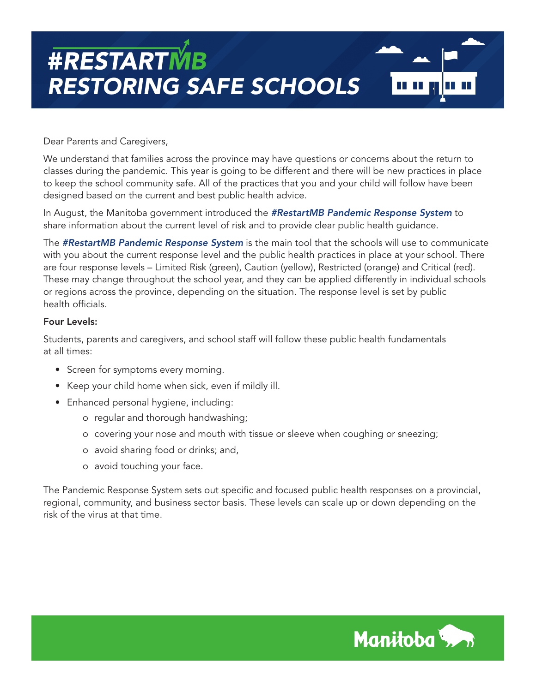

Dear Parents and Caregivers,

We understand that families across the province may have questions or concerns about the return to classes during the pandemic. This year is going to be different and there will be new practices in place to keep the school community safe. All of the practices that you and your child will follow have been designed based on the current and best public health advice.

In August, the Manitoba government introduced the *#RestartMB Pandemic Response System* to share information about the current level of risk and to provide clear public health guidance.

The *#RestartMB Pandemic Response System* is the main tool that the schools will use to communicate with you about the current response level and the public health practices in place at your school. There are four response levels – Limited Risk (green), Caution (yellow), Restricted (orange) and Critical (red). These may change throughout the school year, and they can be applied differently in individual schools or regions across the province, depending on the situation. The response level is set by public health officials.

#### Four Levels:

Students, parents and caregivers, and school staff will follow these public health fundamentals at all times:

- Screen for symptoms every morning.
- Keep your child home when sick, even if mildly ill.
- Enhanced personal hygiene, including:
	- o regular and thorough handwashing;
	- o covering your nose and mouth with tissue or sleeve when coughing or sneezing;
	- o avoid sharing food or drinks; and,
	- o avoid touching your face.

The Pandemic Response System sets out specific and focused public health responses on a provincial, regional, community, and business sector basis. These levels can scale up or down depending on the risk of the virus at that time.

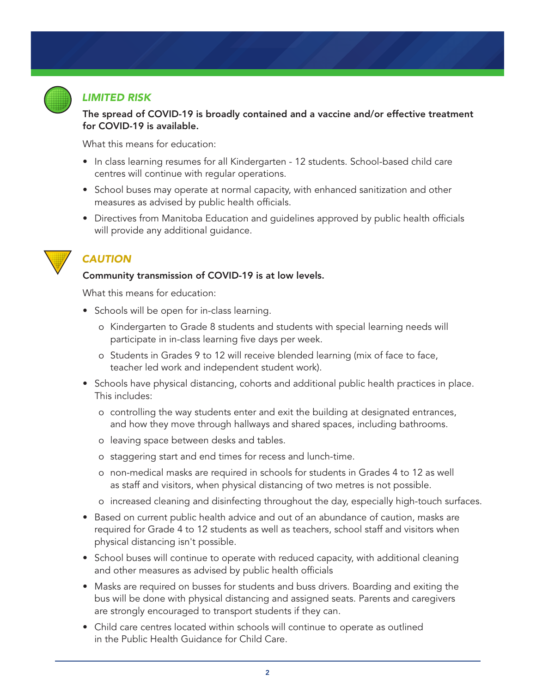

## *LIMITED RISK*

#### The spread of COVID-19 is broadly contained and a vaccine and/or effective treatment for COVID-19 is available.

What this means for education:

- In class learning resumes for all Kindergarten 12 students. School-based child care centres will continue with regular operations.
- School buses may operate at normal capacity, with enhanced sanitization and other measures as advised by public health officials.
- Directives from Manitoba Education and guidelines approved by public health officials will provide any additional guidance.



## *CAUTION*

#### Community transmission of COVID-19 is at low levels.

What this means for education:

- Schools will be open for in-class learning.
	- o Kindergarten to Grade 8 students and students with special learning needs will participate in in-class learning five days per week.
	- o Students in Grades 9 to 12 will receive blended learning (mix of face to face, teacher led work and independent student work).
- Schools have physical distancing, cohorts and additional public health practices in place. This includes:
	- o controlling the way students enter and exit the building at designated entrances, and how they move through hallways and shared spaces, including bathrooms.
	- o leaving space between desks and tables.
	- o staggering start and end times for recess and lunch-time.
	- o non-medical masks are required in schools for students in Grades 4 to 12 as well as staff and visitors, when physical distancing of two metres is not possible.
	- o increased cleaning and disinfecting throughout the day, especially high-touch surfaces.
- Based on current public health advice and out of an abundance of caution, masks are required for Grade 4 to 12 students as well as teachers, school staff and visitors when physical distancing isn't possible.
- School buses will continue to operate with reduced capacity, with additional cleaning and other measures as advised by public health officials
- Masks are required on busses for students and buss drivers. Boarding and exiting the bus will be done with physical distancing and assigned seats. Parents and caregivers are strongly encouraged to transport students if they can.
- Child care centres located within schools will continue to operate as outlined in the Public Health Guidance for Child Care.